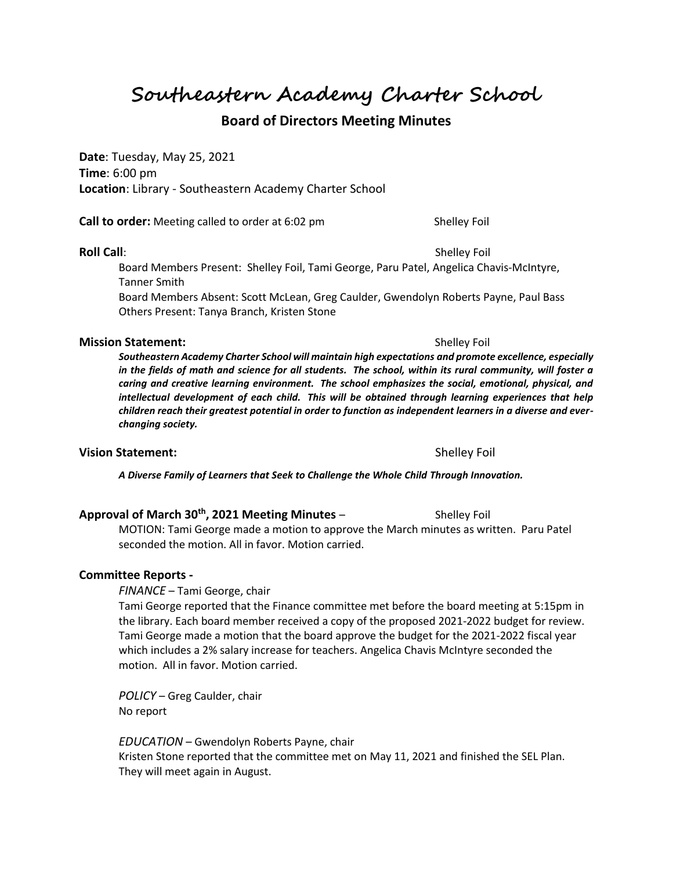**Southeastern Academy Charter School**

# **Board of Directors Meeting Minutes**

**Date**: Tuesday, May 25, 2021 **Time**: 6:00 pm **Location**: Library - Southeastern Academy Charter School

**Call to order:** Meeting called to order at 6:02 pm Shelley Foil

#### **Roll Call**: Shelley Foil **Roll Call**: Shelley Foil **Shelley Foil**

Board Members Present: Shelley Foil, Tami George, Paru Patel, Angelica Chavis-McIntyre, Tanner Smith

Board Members Absent: Scott McLean, Greg Caulder, Gwendolyn Roberts Payne, Paul Bass Others Present: Tanya Branch, Kristen Stone

#### **Mission Statement:**  $\qquad \qquad$  Shelley Foil

*Southeastern Academy Charter School will maintain high expectations and promote excellence, especially in the fields of math and science for all students. The school, within its rural community, will foster a caring and creative learning environment. The school emphasizes the social, emotional, physical, and intellectual development of each child. This will be obtained through learning experiences that help children reach their greatest potential in order to function as independent learners in a diverse and everchanging society.*

### **Vision Statement:**  $\qquad \qquad$  Shelley Foil

*A Diverse Family of Learners that Seek to Challenge the Whole Child Through Innovation.*

### **Approval of March 30th, 2021 Meeting Minutes** – Shelley Foil

MOTION: Tami George made a motion to approve the March minutes as written. Paru Patel seconded the motion. All in favor. Motion carried.

### **Committee Reports -**

*FINANCE* – Tami George, chair

Tami George reported that the Finance committee met before the board meeting at 5:15pm in the library. Each board member received a copy of the proposed 2021-2022 budget for review. Tami George made a motion that the board approve the budget for the 2021-2022 fiscal year which includes a 2% salary increase for teachers. Angelica Chavis McIntyre seconded the motion. All in favor. Motion carried.

*POLICY* – Greg Caulder, chair No report

*EDUCATION* – Gwendolyn Roberts Payne, chair Kristen Stone reported that the committee met on May 11, 2021 and finished the SEL Plan. They will meet again in August.